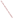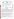| THE ENVIRONMENTAL TECHNOLOGY VERIFICATION |  |
|-------------------------------------------|--|
| <b>PROGRAM</b>                            |  |







## **ETV Joint Verification Statement**

| <b>APPLICATION:</b>              | <b>MEASURING OZONE IN AMBIENT AIR</b>            |      |                                           |  |
|----------------------------------|--------------------------------------------------|------|-------------------------------------------|--|
| <b>TECHNOLOGY NAME: 3.02 P-A</b> |                                                  |      |                                           |  |
| <b>COMPANY:</b>                  | <b>JSC OPTEC Ltd.</b>                            |      |                                           |  |
| <b>ADDRESS:</b>                  | 1985 West Henderson Road<br>Columbus, Ohio 43220 | FAX: | PHONE: (614) 477-1020<br>$(614)$ 486-2693 |  |
| <b>WEB SITE:</b>                 | www.optec-corp.com                               |      |                                           |  |

The U.S. Environmental Protection Agency (EPA) has established the Environmental Technology Verification (ETV) Program to facilitate the deployment of innovative or improved environmental technologies through performance verification and dissemination of information. The goal of the ETV Program is to further environmental protection by accelerating the acceptance and use of improved and cost-effective technologies. ETV seeks to achieve this goal by providing high-quality, peer-reviewed data on technology performance to those involved in the design, distribution, financing, permitting, purchase, and use of environmental technologies. Information and ETV documents are available at www.epa.gov/etv.

ETV works in partnership with recognized standards and testing organizations, with stakeholder groups (consisting of buyers, vendor organizations, and permitters), and with individual technology developers. The program evaluates the performance of innovative technologies by developing test plans that are responsive to the needs of stakeholders, conducting field or laboratory tests (as appropriate), collecting and analyzing data, and preparing peer-reviewed reports. All evaluations are conducted in accordance with rigorous quality assurance (QA) protocols to ensure that data of known and adequate quality are generated and that the results are defensible.

The Advanced Monitoring Systems (AMS) Center, one of five verification centers under ETV, is operated by Battelle in cooperation with EPA's National Exposure Research Laboratory. The AMS Center evaluated the performance of a chemiluminescent ozone analyzer, a continuous monitor for determining ozone in air. This verification statement provides a summary of the test results for the JSC Optec Ltd. 3.02 P-A ozone analyzer.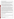## **VERIFICATION TEST DESCRIPTION**

The objective of this verification test was to evaluate the 3.02 P-A performance for determining ozone in air in part by comparing it to the response of the ultraviolet (UV)-absorption Federal Equivalent Method (FEM) for ozone. The specific commercial FEM monitor used in this test was the Thermo Environmental Model 49 C (FEM EQOA-880-047). The verification test was conducted between June 13 and June 28, 2007 at Battelle laboratories located in Columbus, Ohio.

The response of the 3.02 P-A to ozone in ambient air and at low ( $\lt$  5%) and high ( $\approx$  80%) relative humidity (RH) in clean air was used to evaluate for accuracy, linearity, interference effects, comparability to the FEM, data completeness, and operational factors. Two 3.02 P-A instruments were operated, one with no additional equipment and per the manufacturer's recommendations, and the other with a Nafion humidity equilibration tube added to the monitor's inlet. Results from the first unit are the primary results of this verification. The Nafion tube was added to the second unit to assess the impact of humidity and humidity control on the 3.02 P-A response. Both 3.02 P-A units relied entirely on their internal automated calibration systems, as specified by the vendor.

Accuracy was calculated from the response of the 3.02 P-A with respect to different levels of ozone challenges, established either by a known ozone source or by FEM response. Linearity was assessed by a linear regression analysis using the FEM reading as the independent variable and the response of the 3.02 P-A as the dependent variable. Interferences tested were naphthalene, o-nitrophenol, and ptolualdehyde, each at approximately 6 to 15 parts per billion by volume (ppbv) in both dry and humidified air; mercury vapor at 630 nanograms per cubic meter  $(ng/m<sup>3</sup>)$  in dry air and 54 ng/m<sup>3</sup> in humidified air; nitrogen dioxide  $(NO_2)$  at up to 200 ppby in humidified air; and a 17-component mix of volatile organic compounds at up to 593 ppbv total concentration in humidified air. Interference effects were calculated in terms of the ratio of the 3.02 P-A response to the actual concentration of the interferent. Comparability was assessed by comparing the 3.02 P-A response to that of the FEM during generation of ozone in photochemical chamber tests at 80% RH, and in ambient ozone monitoring. Data completeness was assessed as the percentage of maximum data return achieved by the 3.02 P-A over the test period. Operational factors were evaluated by means of observations during testing and records of needed maintenance, vendor activities, and expendables use.

QA oversight of verification testing was provided by Battelle and EPA. Battelle QA staff conducted a technical systems audit, a performance evaluation audit, and a data quality audit of 10% of the test data. EPA QA staff also conducted an on-site technical systems audit. This verification statement, the full report on which it is based, and the test/QA plan for this verification test are all available at [www.epa.gov/etv/centers/center1.html](http://www.epa.gov/etv/centers/center1.html).

## **TECHNOLOGY DESCRIPTION**

The following description of the 3.02 P-A was provided by the vendor and does not represent verified information.

The 3.02 P-A chemiluminescent ozone analyzer combines a solid phase chemiluminescence approach with menu-driven software with diagnostic functions. It is designed to measure ozone concentrations in ambient air.

The Model 3.02 P-A is designed to have the following features:

- Automatic continuous measurements
- Automatic internal calibration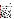- High sensitivity
- Fast response time
- Linearity
- Menu driven software
- Digital display
- Electronic data output

The 3.02 P-A detects ambient ozone by means of its chemical reaction with a solid-phase reactant of proprietary composition, resulting in the emission of light with peak intensity near 560 nm wavelength. The emitted light is detected by a photomultiplier tube, and converted to a digital signal that is linearly proportional to the gaseous ozone concentration. An internal pump draws sample air through two alternate flow paths: in the measurement path sample air passes directly into contact with the solidphase reactant, whereas in the zeroing path ozone in the sample air is removed by a selective scrubber element before the air contacts the reactant. The 3.02 P-A thus measures ozone by comparison of the signals from these two paths. An internal ozone generator (UV lamp) provides a calibration mixture to the 3.02 P-A at 10-minute intervals, and the internal software automatically adjusts instrument response with each calibration. The measured ozone concentration is displayed on the front panel of the 3.02 P-A and can be transmitted via analog outputs. The estimated price of the base model analyzer is \$5,000.

## **VERIFICATION RESULTS**

The addition of the Nafion humidity equilibration tube to the inlet of one unit of the 3.02 P-A reduced the performance of that unit in nearly all performance measures. The performance of the 3.02 P-A unit operated normally is summarized below.

**Accuracy:** The accuracy of the Optec 3.02 P-A ozone analyzer was assessed in terms of percent recovery (%R). The 3.02 P-A averaged a %R of 85.4 to 107.7% at concentrations of 98 to 289 parts ppbv when ozone was delivered to the analyzer in dry air directly from a calibration source. When ozone was added to clean air in the test chamber in stepwise concentrations of 51 to 257 ppbv at high humidity ( $\approx 80\%$  RH), the average %R was 93.2 to 110%. In the corresponding chamber test at concentrations of 69 to 260 ppby in dry test conditions ( $\lt$  5% RH), the average %R of the 3.02 P-A was 83.4 to 88.3%.

**Linearity:** Linearity was evaluated in terms of slope, intercept, and coefficient of determination  $(r^2)$ . The linearity of the 3.02 P-A under  $\approx 80\%$  RH test conditions showed a slope of 0.914, an intercept of 6.2 ppbv, and an  $r^2$  value of 0.998 over a concentration range of 51 to 257 ppbv. The linearity of the 3.02 P-A in < 5% RH conditions showed a slope of 0.838, an intercept of 1.0 ppbv, and an  $r^2$  value of 0.999 over a concentration range of 69 to 260 ppbv.

**Interference Effects:** None of the interferents tested caused any response on the 3.02 P-A. As a result, all interferent response ratios were zero.

**Comparability:** Comparability was evaluated in terms of the slope, intercept, and  $r^2$  of a linear regression of 3.02 P-A readings against FEM readings. The comparison between the 3.02 P-A and FEM during the photochemical ozone test with high precursor concentrations resulted in a slope of 0.815, an intercept of 4.1 ppbv, and an  $r^2$  value of 0.999 over an ozone concentration range of 20 to 130 ppbv. The same comparison in the photochemical test with lower precursor concentrations resulted in a slope of 0.941, an intercept of -1.2 ppbv, and an  $r^2$  value of 0.997 over an ozone concentration range of 20 to 80 ppbv. The comparison of the 3.02 P-A and FEM readings over the four day ambient monitoring